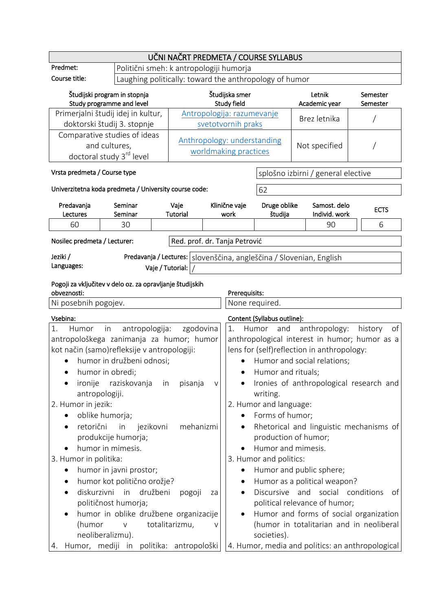|                                                                                                            |                                                                                                                                                                                                                                | UČNI NAČRT PREDMETA / COURSE SYLLABUS                  |                                                      |                                                  |                                                                                |                                                                                                                                                       |                                                                                                                                     |
|------------------------------------------------------------------------------------------------------------|--------------------------------------------------------------------------------------------------------------------------------------------------------------------------------------------------------------------------------|--------------------------------------------------------|------------------------------------------------------|--------------------------------------------------|--------------------------------------------------------------------------------|-------------------------------------------------------------------------------------------------------------------------------------------------------|-------------------------------------------------------------------------------------------------------------------------------------|
| Predmet:                                                                                                   |                                                                                                                                                                                                                                | Politični smeh: k antropologiji humorja                |                                                      |                                                  |                                                                                |                                                                                                                                                       |                                                                                                                                     |
| Course title:                                                                                              |                                                                                                                                                                                                                                | Laughing politically: toward the anthropology of humor |                                                      |                                                  |                                                                                |                                                                                                                                                       |                                                                                                                                     |
| Študijski program in stopnja<br>Study programme and level                                                  |                                                                                                                                                                                                                                |                                                        | Študijska smer<br>Study field                        |                                                  |                                                                                | Letnik<br>Academic year                                                                                                                               | Semester<br>Semester                                                                                                                |
|                                                                                                            | Primerjalni študij idej in kultur,<br>doktorski študij 3. stopnje                                                                                                                                                              |                                                        |                                                      | Antropologija: razumevanje<br>svetotvornih praks |                                                                                | Brez letnika                                                                                                                                          |                                                                                                                                     |
| Comparative studies of ideas<br>and cultures,<br>doctoral study 3rd level                                  |                                                                                                                                                                                                                                |                                                        | Anthropology: understanding<br>worldmaking practices |                                                  | Not specified                                                                  |                                                                                                                                                       |                                                                                                                                     |
| Vrsta predmeta / Course type                                                                               |                                                                                                                                                                                                                                |                                                        |                                                      |                                                  |                                                                                | splošno izbirni / general elective                                                                                                                    |                                                                                                                                     |
|                                                                                                            | Univerzitetna koda predmeta / University course code:                                                                                                                                                                          |                                                        |                                                      |                                                  | 62                                                                             |                                                                                                                                                       |                                                                                                                                     |
| Predavanja<br>Lectures                                                                                     | Seminar<br>Seminar                                                                                                                                                                                                             | Vaje<br>Tutorial                                       |                                                      | Klinične vaje<br>work                            | Druge oblike<br>študija                                                        | Samost, delo<br>Individ. work                                                                                                                         | <b>ECTS</b>                                                                                                                         |
| 60                                                                                                         | 30                                                                                                                                                                                                                             |                                                        |                                                      |                                                  |                                                                                | 90                                                                                                                                                    | 6                                                                                                                                   |
| Nosilec predmeta / Lecturer:                                                                               |                                                                                                                                                                                                                                | Red. prof. dr. Tanja Petrović                          |                                                      |                                                  |                                                                                |                                                                                                                                                       |                                                                                                                                     |
| Jeziki /                                                                                                   |                                                                                                                                                                                                                                |                                                        |                                                      |                                                  |                                                                                | Predavanja / Lectures:   slovenščina, angleščina / Slovenian, English                                                                                 |                                                                                                                                     |
| Languages:                                                                                                 |                                                                                                                                                                                                                                | Vaje / Tutorial: $ $ /                                 |                                                      |                                                  |                                                                                |                                                                                                                                                       |                                                                                                                                     |
| Pogoji za vključitev v delo oz. za opravljanje študijskih                                                  |                                                                                                                                                                                                                                |                                                        |                                                      |                                                  |                                                                                |                                                                                                                                                       |                                                                                                                                     |
| obveznosti:<br>Prerequisits:<br>Ni posebnih pogojev.<br>None required.                                     |                                                                                                                                                                                                                                |                                                        |                                                      |                                                  |                                                                                |                                                                                                                                                       |                                                                                                                                     |
| Vsebina:                                                                                                   |                                                                                                                                                                                                                                |                                                        |                                                      |                                                  | Content (Syllabus outline):                                                    |                                                                                                                                                       |                                                                                                                                     |
| 1.<br>Humor<br>ironije<br>antropologiji.<br>2. Humor in jezik:                                             | antropologija:<br>in<br>antropološkega zanimanja za humor; humor<br>kot način (samo)refleksije v antropologiji:<br>humor in družbeni odnosi;<br>humor in obredi;<br>raziskovanja                                               | zgodovina<br>pisanja<br>in                             | V                                                    | 1.                                               | and<br>Humor<br>Humor and rituals:<br>writing.<br>2. Humor and language:       | anthropology:<br>lens for (self)reflection in anthropology:<br>Humor and social relations;                                                            | of<br>history<br>anthropological interest in humor; humor as a<br>Ironies of anthropological research and                           |
| oblike humorja;<br>retorični<br>3. Humor in politika:<br>٠<br>٠<br>$\bullet$<br>(humor<br>neoliberalizmu). | in<br>jezikovni<br>produkcije humorja;<br>humor in mimesis.<br>humor in javni prostor;<br>humor kot politično orožje?<br>diskurzivni in<br>družbeni<br>političnost humorja;<br>humor in oblike družbene organizacije<br>$\vee$ | mehanizmi<br>pogoji<br>totalitarizmu,                  | za<br>v                                              | ٠                                                | Forms of humor;<br>Humor and mimesis.<br>3. Humor and politics:<br>societies). | production of humor;<br>Humor and public sphere;<br>Humor as a political weapon?<br>Discursive and social conditions<br>political relevance of humor; | Rhetorical and linguistic mechanisms of<br>of<br>Humor and forms of social organization<br>(humor in totalitarian and in neoliberal |
| 4.                                                                                                         | Humor, mediji in politika: antropološki                                                                                                                                                                                        |                                                        |                                                      |                                                  |                                                                                |                                                                                                                                                       | 4. Humor, media and politics: an anthropological                                                                                    |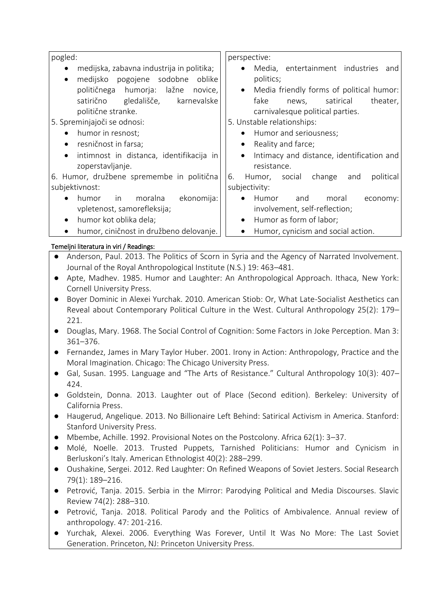| pogled:                                               | perspective:                                           |
|-------------------------------------------------------|--------------------------------------------------------|
| medijska, zabavna industrija in politika;             | Media, entertainment industries and<br>$\bullet$       |
| medijsko pogojene sodobne oblike<br>$\bullet$         | politics;                                              |
| političnega humorja: lažne novice,                    | Media friendly forms of political humor:<br>$\bullet$  |
| satirično gledališče, karnevalske                     | fake<br>news, satirical<br>theater,                    |
| politične stranke.                                    | carnivalesque political parties.                       |
| 5. Spreminjajoči se odnosi:                           | 5. Unstable relationships:                             |
| humor in resnost;<br>$\bullet$                        | Humor and seriousness;<br>$\bullet$                    |
| resničnost in farsa;<br>$\bullet$                     | Reality and farce;<br>$\bullet$                        |
| intimnost in distanca, identifikacija in<br>$\bullet$ | Intimacy and distance, identification and<br>$\bullet$ |
| zoperstavljanje.                                      | resistance.                                            |
| 6. Humor, družbene spremembe in politična             | political<br>Humor, social change<br>6.<br>and         |
| subjektivnost:                                        | subjectivity:                                          |
| humor in moralna<br>ekonomija:  <br>$\bullet$         | Humor<br>moral<br>and<br>$\bullet$<br>economy:         |
| vpletenost, samorefleksija;                           | involvement, self-reflection;                          |
|                                                       |                                                        |

- humor kot oblika dela;
- humor, ciničnost in družbeno delovanje.

## Temeljni literatura in viri / Readings:

## Anderson, Paul. 2013. The Politics of Scorn in Syria and the Agency of Narrated Involvement. Journal of the Royal Anthropological Institute (N.S.) 19: 463–481.

Humor as form of labor;

Humor, cynicism and social action.

- Apte, Madhev. 1985. Humor and Laughter: An Anthropological Approach. Ithaca, New York: Cornell University Press.
- Boyer Dominic in Alexei Yurchak. 2010. American Stiob: Or, What Late-Socialist Aesthetics can Reveal about Contemporary Political Culture in the West. Cultural Anthropology 25(2): 179– 221.
- Douglas, Mary. 1968. The Social Control of Cognition: Some Factors in Joke Perception. Man 3: 361–376.
- Fernandez, James in Mary Taylor Huber. 2001. Irony in Action: Anthropology, Practice and the Moral Imagination. Chicago: The Chicago University Press.
- Gal, Susan. 1995. Language and "The Arts of Resistance." Cultural Anthropology 10(3): 407– 424.
- Goldstein, Donna. 2013. Laughter out of Place (Second edition). Berkeley: University of California Press.
- Haugerud, Angelique. 2013. No Billionaire Left Behind: Satirical Activism in America. Stanford: Stanford University Press.
- Mbembe, Achille. 1992. Provisional Notes on the Postcolony. Africa 62(1): 3–37.
- Molé, Noelle. 2013. Trusted Puppets, Tarnished Politicians: Humor and Cynicism in Berluskoni's Italy. American Ethnologist 40(2): 288–299.
- Oushakine, Sergei. 2012. Red Laughter: On Refined Weapons of Soviet Jesters. Social Research 79(1): 189–216.
- Petrović, Tanja. 2015. Serbia in the Mirror: Parodying Political and Media Discourses. Slavic Review 74(2): 288–310.
- Petrović, Tanja. 2018. Political Parody and the Politics of Ambivalence. Annual review of anthropology. 47: 201-216.
- Yurchak, Alexei. 2006. Everything Was Forever, Until It Was No More: The Last Soviet Generation. Princeton, NJ: Princeton University Press.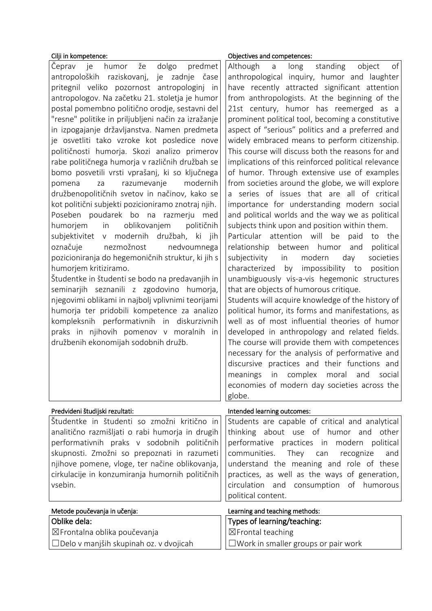| Cilji in kompetence:                                                                                                                                                                                                                                                                                                                                                                                                                                                                                                                                                                                                                                                                                                                                                                                                                                                                                                                                                                                                                                                                                                                                                                                                                                                                                                       | Objectives and competences:                                                                                                                                                                                                                                                                                                                                                                                                                                                                                                                                                                                                                                                                                                                                                                                                                                                                                                                                                                                                                                                                                                                                                                                                                                                                                                                                                                                                                                                                                                                                                                                          |
|----------------------------------------------------------------------------------------------------------------------------------------------------------------------------------------------------------------------------------------------------------------------------------------------------------------------------------------------------------------------------------------------------------------------------------------------------------------------------------------------------------------------------------------------------------------------------------------------------------------------------------------------------------------------------------------------------------------------------------------------------------------------------------------------------------------------------------------------------------------------------------------------------------------------------------------------------------------------------------------------------------------------------------------------------------------------------------------------------------------------------------------------------------------------------------------------------------------------------------------------------------------------------------------------------------------------------|----------------------------------------------------------------------------------------------------------------------------------------------------------------------------------------------------------------------------------------------------------------------------------------------------------------------------------------------------------------------------------------------------------------------------------------------------------------------------------------------------------------------------------------------------------------------------------------------------------------------------------------------------------------------------------------------------------------------------------------------------------------------------------------------------------------------------------------------------------------------------------------------------------------------------------------------------------------------------------------------------------------------------------------------------------------------------------------------------------------------------------------------------------------------------------------------------------------------------------------------------------------------------------------------------------------------------------------------------------------------------------------------------------------------------------------------------------------------------------------------------------------------------------------------------------------------------------------------------------------------|
| Čeprav<br>že<br>dolgo<br>predmet<br>je<br>humor<br>antropoloških raziskovanj,<br>je zadnje<br>čase<br>pritegnil veliko pozornost antropologinj in<br>antropologov. Na začetku 21. stoletja je humor<br>postal pomembno politično orodje, sestavni del<br>"resne" politike in priljubljeni način za izražanje<br>in izpogajanje državljanstva. Namen predmeta<br>je osvetliti tako vzroke kot posledice nove<br>političnosti humorja. Skozi analizo primerov<br>rabe političnega humorja v različnih družbah se<br>bomo posvetili vrsti vprašanj, ki so ključnega<br>modernih<br>za<br>razumevanje<br>pomena<br>družbenopolitičnih svetov in načinov, kako se<br>kot politični subjekti pozicioniramo znotraj njih.<br>Poseben poudarek bo na razmerju<br>med<br>oblikovanjem<br>političnih<br>humorjem<br>in<br>modernih družbah, ki jih<br>subjektivitet<br>V<br>nezmožnost<br>nedvoumnega<br>označuje<br>pozicioniranja do hegemoničnih struktur, ki jih s<br>humorjem kritiziramo.<br>Študentke in študenti se bodo na predavanjih in<br>seminarjih seznanili z zgodovino humorja,<br>njegovimi oblikami in najbolj vplivnimi teorijami<br>humorja ter pridobili kompetence za analizo<br>kompleksnih performativnih in diskurzivnih<br>praks in njihovih pomenov v moralnih in<br>družbenih ekonomijah sodobnih družb. | of<br>Although<br>long<br>object<br>standing<br>$\overline{a}$<br>anthropological inquiry, humor and laughter<br>have recently attracted significant attention<br>from anthropologists. At the beginning of the<br>21st century, humor has reemerged as a<br>prominent political tool, becoming a constitutive<br>aspect of "serious" politics and a preferred and<br>widely embraced means to perform citizenship.<br>This course will discuss both the reasons for and<br>implications of this reinforced political relevance<br>of humor. Through extensive use of examples<br>from societies around the globe, we will explore<br>a series of issues that are all of critical<br>importance for understanding modern social<br>and political worlds and the way we as political<br>subjects think upon and position within them.<br>Particular attention will be<br>paid<br>to the<br>between<br>relationship<br>humor<br>and<br>political<br>in<br>modern<br>subjectivity<br>day<br>societies<br>characterized<br>impossibility to<br>by<br>position<br>unambiguously vis-a-vis hegemonic structures<br>that are objects of humorous critique.<br>Students will acquire knowledge of the history of<br>political humor, its forms and manifestations, as<br>well as of most influential theories of humor<br>developed in anthropology and related fields.<br>The course will provide them with competences<br>necessary for the analysis of performative and<br>discursive practices and their functions and<br>meanings in complex moral and social<br>economies of modern day societies across the<br>globe. |
| Predvideni študijski rezultati:                                                                                                                                                                                                                                                                                                                                                                                                                                                                                                                                                                                                                                                                                                                                                                                                                                                                                                                                                                                                                                                                                                                                                                                                                                                                                            | Intended learning outcomes:                                                                                                                                                                                                                                                                                                                                                                                                                                                                                                                                                                                                                                                                                                                                                                                                                                                                                                                                                                                                                                                                                                                                                                                                                                                                                                                                                                                                                                                                                                                                                                                          |
| Študentke in študenti so zmožni kritično in<br>analitično razmišljati o rabi humorja in drugih<br>performativnih praks v sodobnih političnih<br>skupnosti. Zmožni so prepoznati in razumeti<br>njihove pomene, vloge, ter načine oblikovanja,<br>cirkulacije in konzumiranja humornih političnih<br>vsebin.                                                                                                                                                                                                                                                                                                                                                                                                                                                                                                                                                                                                                                                                                                                                                                                                                                                                                                                                                                                                                | Students are capable of critical and analytical<br>thinking about use of humor and other<br>performative practices in modern political<br>communities.<br>They<br>can<br>recognize<br>and<br>understand the meaning and role of these<br>practices, as well as the ways of generation,<br>circulation and consumption of humorous<br>political content.                                                                                                                                                                                                                                                                                                                                                                                                                                                                                                                                                                                                                                                                                                                                                                                                                                                                                                                                                                                                                                                                                                                                                                                                                                                              |
| Metode poučevanja in učenja:                                                                                                                                                                                                                                                                                                                                                                                                                                                                                                                                                                                                                                                                                                                                                                                                                                                                                                                                                                                                                                                                                                                                                                                                                                                                                               | Learning and teaching methods:                                                                                                                                                                                                                                                                                                                                                                                                                                                                                                                                                                                                                                                                                                                                                                                                                                                                                                                                                                                                                                                                                                                                                                                                                                                                                                                                                                                                                                                                                                                                                                                       |
| Oblike dela:<br>⊠Frontalna oblika poučevanja<br>□Delo v manjših skupinah oz. v dvojicah                                                                                                                                                                                                                                                                                                                                                                                                                                                                                                                                                                                                                                                                                                                                                                                                                                                                                                                                                                                                                                                                                                                                                                                                                                    | Types of learning/teaching:<br>$\boxtimes$ Frontal teaching<br>$\square$ Work in smaller groups or pair work                                                                                                                                                                                                                                                                                                                                                                                                                                                                                                                                                                                                                                                                                                                                                                                                                                                                                                                                                                                                                                                                                                                                                                                                                                                                                                                                                                                                                                                                                                         |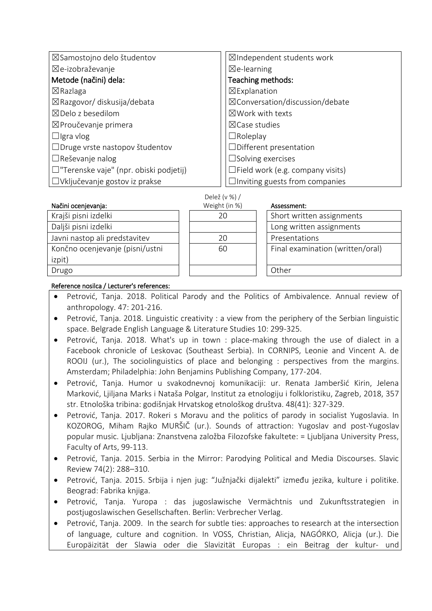| ⊠Samostojno delo študentov                    | ⊠Independent students work              |
|-----------------------------------------------|-----------------------------------------|
| ⊠e-izobraževanje                              | $\boxtimes$ e-learning                  |
| Metode (načini) dela:                         | Teaching methods:                       |
| $\boxtimes$ Razlaga                           | $\boxtimes$ Explanation                 |
| ⊠Razgovor/ diskusija/debata                   | ⊠Conversation/discussion/debate         |
| $\boxtimes$ Delo z besedilom                  | $\boxtimes$ Work with texts             |
| $\boxtimes$ Proučevanje primera               | $\boxtimes$ Case studies                |
| $\Box$ Igra vlog                              | $\Box$ Roleplay                         |
| □Druge vrste nastopov študentov               | $\Box$ Different presentation           |
| $\Box$ Reševanje nalog                        | $\square$ Solving exercises             |
| $\Box$ "Terenske vaje" (npr. obiski podjetij) | $\Box$ Field work (e.g. company visits) |
| □Vključevanje gostov iz prakse                | $\Box$ Inviting guests from companies   |

| Delež (v %) / |  |  |  |
|---------------|--|--|--|
|---------------|--|--|--|

| Načini ocenjevanja:             | Weight (in %) | Assessment:                      |
|---------------------------------|---------------|----------------------------------|
| Krajši pisni izdelki            | 20            | Short written assignments        |
| Daljši pisni izdelki            |               | Long written assignments         |
| Javni nastop ali predstavitev   | 20            | Presentations                    |
| Končno ocenjevanje (pisni/ustni | 60            | Final examination (written/oral) |
| izpit)                          |               |                                  |
| Drugo                           |               | Other                            |
|                                 |               |                                  |

## Reference nosilca / Lecturer's references:

- Petrović, Tanja. 2018. Political Parody and the Politics of Ambivalence. Annual review of anthropology. 47: 201-216.
- Petrović, Tanja. 2018. Linguistic creativity : a view from the periphery of the Serbian linguistic space. Belgrade English Language & Literature Studies 10: 299-325.
- Petrović, Tanja. 2018. What's up in town : place-making through the use of dialect in a Facebook chronicle of Leskovac (Southeast Serbia). In CORNIPS, Leonie and Vincent A. de ROOIJ (ur.), The sociolinguistics of place and belonging : perspectives from the margins. Amsterdam; Philadelphia: John Benjamins Publishing Company, 177-204.
- Petrović, Tanja. Humor u svakodnevnoj komunikaciji: ur. Renata Jamberšić Kirin, Jelena Marković, Ljiljana Marks i Nataša Polgar, Institut za etnologiju i folkloristiku, Zagreb, 2018, 357 str. Etnološka tribina: godišnjak Hrvatskog etnološkog društva. 48(41): 327-329.
- Petrović, Tanja. 2017. Rokeri s Moravu and the politics of parody in socialist Yugoslavia. In KOZOROG, Miham Rajko MURŠIČ (ur.). Sounds of attraction: Yugoslav and post-Yugoslav popular music. Ljubljana: Znanstvena založba Filozofske fakultete: = Ljubljana University Press, Faculty of Arts, 99-113.
- Petrović, Tanja. 2015. Serbia in the Mirror: Parodying Political and Media Discourses. Slavic Review 74(2): 288–310.
- Petrović, Tanja. 2015. Srbija i njen jug: "Južnjački dijalekti" između jezika, kulture i politike. Beograd: Fabrika knjiga.
- Petrović, Tanja. Yuropa : das jugoslawische Vermächtnis und Zukunftsstrategien in postjugoslawischen Gesellschaften. Berlin: Verbrecher Verlag.
- Petrović, Tanja. 2009. In the search for subtle ties: approaches to research at the intersection of language, culture and cognition. In VOSS, Christian, Alicja, NAGÓRKO, Alicja (ur.). Die Europäizität der Slawia oder die Slavizität Europas : ein Beitrag der kultur- und